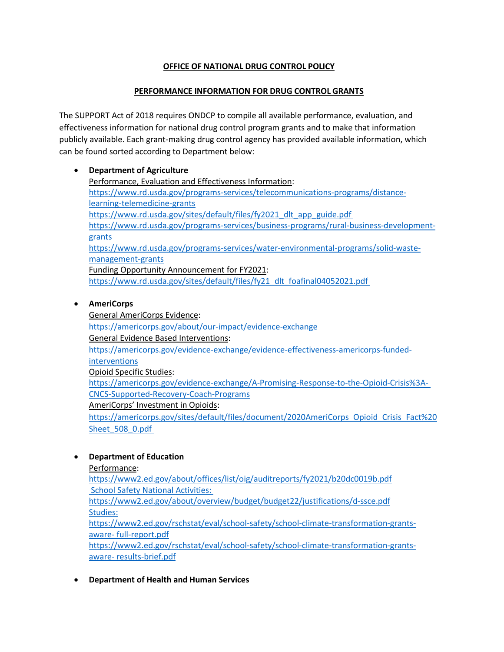# **OFFICE OF NATIONAL DRUG CONTROL POLICY**

### **PERFORMANCE INFORMATION FOR DRUG CONTROL GRANTS**

The SUPPORT Act of 2018 requires ONDCP to compile all available performance, evaluation, and effectiveness information for national drug control program grants and to make that information publicly available. Each grant-making drug control agency has provided available information, which can be found sorted according to Department below:

#### • **Department of Agriculture**

Performance, Evaluation and Effectiveness Information: [https://www.rd.usda.gov/programs-services/telecommunications-programs/distance](https://www.rd.usda.gov/programs-services/telecommunications-programs/distance-learning-telemedicine-grants)[learning-telemedicine-grants](https://www.rd.usda.gov/programs-services/telecommunications-programs/distance-learning-telemedicine-grants) [https://www.rd.usda.gov/sites/default/files/fy2021\\_dlt\\_app\\_guide.pdf](https://www.rd.usda.gov/sites/default/files/fy2021_dlt_app_guide.pdf) [https://www.rd.usda.gov/programs-services/business-programs/rural-business-development](https://www.rd.usda.gov/programs-services/business-programs/rural-business-development-grants)[grants](https://www.rd.usda.gov/programs-services/business-programs/rural-business-development-grants) [https://www.rd.usda.gov/programs-services/water-environmental-programs/solid-waste](https://www.rd.usda.gov/programs-services/water-environmental-programs/solid-waste-management-grants)[management-grants](https://www.rd.usda.gov/programs-services/water-environmental-programs/solid-waste-management-grants) Funding Opportunity Announcement for FY2021: [https://www.rd.usda.gov/sites/default/files/fy21\\_dlt\\_foafinal04052021.pdf](https://www.rd.usda.gov/sites/default/files/fy21_dlt_foafinal04052021.pdf)

#### • **AmeriCorps**

General AmeriCorps Evidence: <https://americorps.gov/about/our-impact/evidence-exchange> General Evidence Based Interventions: [https://americorps.gov/evidence-exchange/evidence-effectiveness-americorps-funded](https://americorps.gov/evidence-exchange/evidence-effectiveness-americorps-funded-interventions)[interventions](https://americorps.gov/evidence-exchange/evidence-effectiveness-americorps-funded-interventions) Opioid Specific Studies: [https://americorps.gov/evidence-exchange/A-Promising-Response-to-the-Opioid-Crisis%3A-](https://americorps.gov/evidence-exchange/A-Promising-Response-to-the-Opioid-Crisis%3A-CNCS-Supported-Recovery-Coach-Programs)[CNCS-Supported-Recovery-Coach-Programs](https://americorps.gov/evidence-exchange/A-Promising-Response-to-the-Opioid-Crisis%3A-CNCS-Supported-Recovery-Coach-Programs) AmeriCorps' Investment in Opioids: [https://americorps.gov/sites/default/files/document/2020AmeriCorps\\_Opioid\\_Crisis\\_Fact%20](https://americorps.gov/sites/default/files/document/2020AmeriCorps_Opioid_Crisis_Fact%20Sheet_508_0.pdf) Sheet 508 0.pdf

## • **Department of Education**

Performance:

<https://www2.ed.gov/about/offices/list/oig/auditreports/fy2021/b20dc0019b.pdf> School Safety National Activities: <https://www2.ed.gov/about/overview/budget/budget22/justifications/d-ssce.pdf> Studies: [https://www2.ed.gov/rschstat/eval/school-safety/school-climate-transformation-grants](https://www2.ed.gov/rschstat/eval/school-safety/school-climate-transformation-grants-aware-full-report.pdf)[aware-](https://www2.ed.gov/rschstat/eval/school-safety/school-climate-transformation-grants-aware-full-report.pdf) [full-report.pdf](https://www2.ed.gov/rschstat/eval/school-safety/school-climate-transformation-grants-aware-full-report.pdf) [https://www2.ed.gov/rschstat/eval/school-safety/school-climate-transformation-grants](https://www2.ed.gov/rschstat/eval/school-safety/school-climate-transformation-grants-aware-results-brief.pdf)[aware-](https://www2.ed.gov/rschstat/eval/school-safety/school-climate-transformation-grants-aware-results-brief.pdf) [results-brief.pdf](https://www2.ed.gov/rschstat/eval/school-safety/school-climate-transformation-grants-aware-results-brief.pdf)

• **Department of Health and Human Services**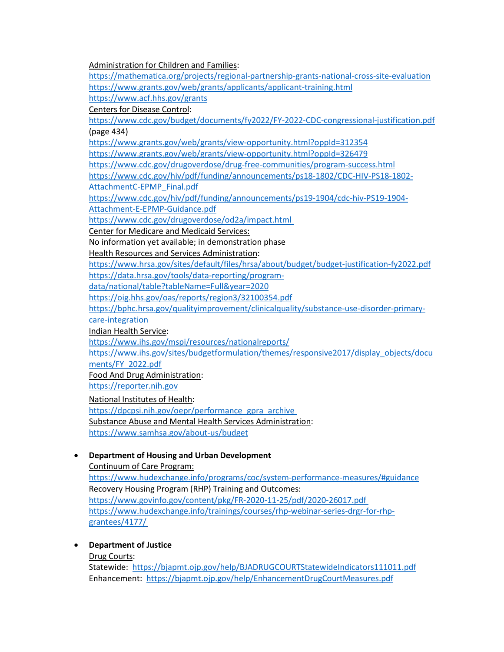Administration for Children and Families: <https://mathematica.org/projects/regional-partnership-grants-national-cross-site-evaluation> <https://www.grants.gov/web/grants/applicants/applicant-training.html> <https://www.acf.hhs.gov/grants> Centers for Disease Control: https://www.cdc.gov/budget/documents/fy2022/FY-2022-CDC-congressional-justification.pdf (page 434) <https://www.grants.gov/web/grants/view-opportunity.html?oppId=312354> <https://www.grants.gov/web/grants/view-opportunity.html?oppId=326479> <https://www.cdc.gov/drugoverdose/drug-free-communities/program-success.html> [https://www.cdc.gov/hiv/pdf/funding/announcements/ps18-1802/CDC-HIV-PS18-1802-](https://www.cdc.gov/hiv/pdf/funding/announcements/ps18-1802/CDC-HIV-PS18-1802-AttachmentC-EPMP_Final.pdf) [AttachmentC-EPMP\\_Final.pdf](https://www.cdc.gov/hiv/pdf/funding/announcements/ps18-1802/CDC-HIV-PS18-1802-AttachmentC-EPMP_Final.pdf) https://www.cdc.gov/hiv/pdf/funding/announcements/ps19-1904/cdc-hiv-PS19-1904- Attachment-E-EPMP-Guidance.pdf <https://www.cdc.gov/drugoverdose/od2a/impact.html> Center for Medicare and Medicaid Services: No information yet available; in demonstration phase Health Resources and Services Administration: <https://www.hrsa.gov/sites/default/files/hrsa/about/budget/budget-justification-fy2022.pdf> [https://data.hrsa.gov/tools/data-reporting/program](https://data.hrsa.gov/tools/data-reporting/program-data/national/table?tableName=Full&year=2020)[data/national/table?tableName=Full&year=2020](https://data.hrsa.gov/tools/data-reporting/program-data/national/table?tableName=Full&year=2020) <https://oig.hhs.gov/oas/reports/region3/32100354.pdf> [https://bphc.hrsa.gov/qualityimprovement/clinicalquality/substance-use-disorder-primary](https://bphc.hrsa.gov/qualityimprovement/clinicalquality/substance-use-disorder-primary-care-integration)[care-integration](https://bphc.hrsa.gov/qualityimprovement/clinicalquality/substance-use-disorder-primary-care-integration) Indian Health Service: <https://www.ihs.gov/mspi/resources/nationalreports/> [https://www.ihs.gov/sites/budgetformulation/themes/responsive2017/display\\_objects/docu](https://www.ihs.gov/sites/budgetformulation/themes/responsive2017/display_objects/documents/FY_2022.pdf) [ments/FY\\_2022.pdf](https://www.ihs.gov/sites/budgetformulation/themes/responsive2017/display_objects/documents/FY_2022.pdf) Food And Drug Administration: [https://reporter.nih.gov](https://reporter.nih.gov/) National Institutes of Health: [https://dpcpsi.nih.gov/oepr/performance\\_gpra\\_archive](https://dpcpsi.nih.gov/oepr/performance_gpra_archive) Substance Abuse and Mental Health Services Administration: <https://www.samhsa.gov/about-us/budget> • **Department of Housing and Urban Development**

Continuum of Care Program: <https://www.hudexchange.info/programs/coc/system-performance-measures/#guidance> Recovery Housing Program (RHP) Training and Outcomes: <https://www.govinfo.gov/content/pkg/FR-2020-11-25/pdf/2020-26017.pdf> [https://www.hudexchange.info/trainings/courses/rhp-webinar-series-drgr-for-rhp-](https://www.hudexchange.info/trainings/courses/rhp-webinar-series-drgr-for-rhp-grantees/4177/)

[grantees/4177/](https://www.hudexchange.info/trainings/courses/rhp-webinar-series-drgr-for-rhp-grantees/4177/)

## • **Department of Justice**

Drug Courts:

Statewide:<https://bjapmt.ojp.gov/help/BJADRUGCOURTStatewideIndicators111011.pdf> Enhancement:<https://bjapmt.ojp.gov/help/EnhancementDrugCourtMeasures.pdf>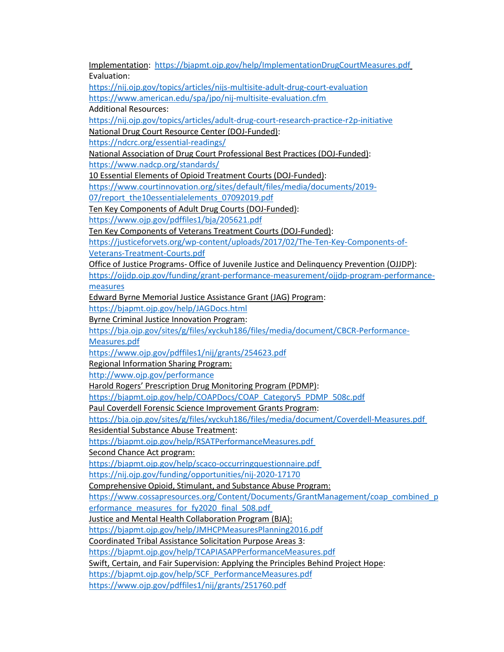Implementation: <https://bjapmt.ojp.gov/help/ImplementationDrugCourtMeasures.pdf> Evaluation:

<https://nij.ojp.gov/topics/articles/nijs-multisite-adult-drug-court-evaluation> <https://www.american.edu/spa/jpo/nij-multisite-evaluation.cfm>

Additional Resources:

<https://nij.ojp.gov/topics/articles/adult-drug-court-research-practice-r2p-initiative>

National Drug Court Resource Center (DOJ-Funded):

<https://ndcrc.org/essential-readings/>

National Association of Drug Court Professional Best Practices (DOJ-Funded):

<https://www.nadcp.org/standards/>

10 Essential Elements of Opioid Treatment Courts (DOJ-Funded):

[https://www.courtinnovation.org/sites/default/files/media/documents/2019-](https://www.courtinnovation.org/sites/default/files/media/documents/2019-07/report_the10essentialelements_07092019.pdf)

[07/report\\_the10essentialelements\\_07092019.pdf](https://www.courtinnovation.org/sites/default/files/media/documents/2019-07/report_the10essentialelements_07092019.pdf)

Ten Key Components of Adult Drug Courts (DOJ-Funded):

<https://www.ojp.gov/pdffiles1/bja/205621.pdf>

Ten Key Components of Veterans Treatment Courts (DOJ-Funded):

[https://justiceforvets.org/wp-content/uploads/2017/02/The-Ten-Key-Components-of-](https://justiceforvets.org/wp-content/uploads/2017/02/The-Ten-Key-Components-of-Veterans-Treatment-Courts.pdf)[Veterans-Treatment-Courts.pdf](https://justiceforvets.org/wp-content/uploads/2017/02/The-Ten-Key-Components-of-Veterans-Treatment-Courts.pdf)

Office of Justice Programs- Office of Juvenile Justice and Delinquency Prevention (OJJDP):

[https://ojjdp.ojp.gov/funding/grant-performance-measurement/ojjdp-program-performance](https://ojjdp.ojp.gov/funding/grant-performance-measurement/ojjdp-program-performance-measures)[measures](https://ojjdp.ojp.gov/funding/grant-performance-measurement/ojjdp-program-performance-measures)

Edward Byrne Memorial Justice Assistance Grant (JAG) Program:

<https://bjapmt.ojp.gov/help/JAGDocs.html>

Byrne Criminal Justice Innovation Program:

[https://bja.ojp.gov/sites/g/files/xyckuh186/files/media/document/CBCR-Performance-](https://bja.ojp.gov/sites/g/files/xyckuh186/files/media/document/CBCR-Performance-Measures.pdf)

[Measures.pdf](https://bja.ojp.gov/sites/g/files/xyckuh186/files/media/document/CBCR-Performance-Measures.pdf)

<https://www.ojp.gov/pdffiles1/nij/grants/254623.pdf>

Regional Information Sharing Program:

<http://www.ojp.gov/performance>

Harold Rogers' Prescription Drug Monitoring Program (PDMP):

[https://bjapmt.ojp.gov/help/COAPDocs/COAP\\_Category5\\_PDMP\\_508c.pdf](https://bjapmt.ojp.gov/help/COAPDocs/COAP_Category5_PDMP_508c.pdf)

Paul Coverdell Forensic Science Improvement Grants Program:

<https://bja.ojp.gov/sites/g/files/xyckuh186/files/media/document/Coverdell-Measures.pdf>

Residential Substance Abuse Treatment:

<https://bjapmt.ojp.gov/help/RSATPerformanceMeasures.pdf>

Second Chance Act program:

<https://bjapmt.ojp.gov/help/scaco-occurringquestionnaire.pdf> <https://nij.ojp.gov/funding/opportunities/nij-2020-17170>

Comprehensive Opioid, Stimulant, and Substance Abuse Program:

[https://www.cossapresources.org/Content/Documents/GrantManagement/coap\\_combined\\_p](https://www.cossapresources.org/Content/Documents/GrantManagement/coap_combined_performance_measures_for_fy2020_final_508.pdf)

erformance measures for fy2020 final 508.pdf

Justice and Mental Health Collaboration Program (BJA):

<https://bjapmt.ojp.gov/help/JMHCPMeasuresPlanning2016.pdf>

Coordinated Tribal Assistance Solicitation Purpose Areas 3:

<https://bjapmt.ojp.gov/help/TCAPIASAPPerformanceMeasures.pdf>

Swift, Certain, and Fair Supervision: Applying the Principles Behind Project Hope:

[https://bjapmt.ojp.gov/help/SCF\\_PerformanceMeasures.pdf](https://bjapmt.ojp.gov/help/SCF_PerformanceMeasures.pdf)

<https://www.ojp.gov/pdffiles1/nij/grants/251760.pdf>